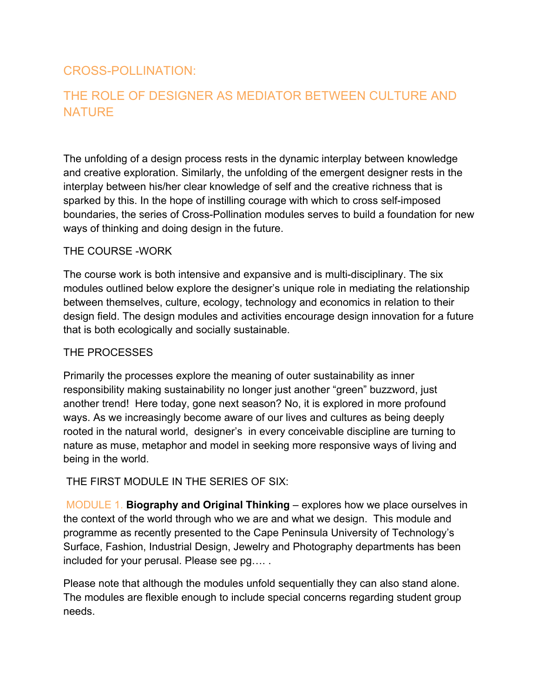## CROSS-POLLINATION:

## THE ROLE OF DESIGNER AS MEDIATOR BETWEEN CULTURE AND **NATURE**

The unfolding of a design process rests in the dynamic interplay between knowledge and creative exploration. Similarly, the unfolding of the emergent designer rests in the interplay between his/her clear knowledge of self and the creative richness that is sparked by this. In the hope of instilling courage with which to cross self-imposed boundaries, the series of Cross-Pollination modules serves to build a foundation for new ways of thinking and doing design in the future.

## THE COURSE -WORK

The course work is both intensive and expansive and is multi-disciplinary. The six modules outlined below explore the designer's unique role in mediating the relationship between themselves, culture, ecology, technology and economics in relation to their design field. The design modules and activities encourage design innovation for a future that is both ecologically and socially sustainable.

## THE PROCESSES

Primarily the processes explore the meaning of outer sustainability as inner responsibility making sustainability no longer just another "green" buzzword, just another trend! Here today, gone next season? No, it is explored in more profound ways. As we increasingly become aware of our lives and cultures as being deeply rooted in the natural world, designer's in every conceivable discipline are turning to nature as muse, metaphor and model in seeking more responsive ways of living and being in the world.

THE FIRST MODULE IN THE SERIES OF SIX:

 MODULE 1. **Biography and Original Thinking** – explores how we place ourselves in the context of the world through who we are and what we design. This module and programme as recently presented to the Cape Peninsula University of Technology's Surface, Fashion, Industrial Design, Jewelry and Photography departments has been included for your perusal. Please see pg…. .

Please note that although the modules unfold sequentially they can also stand alone. The modules are flexible enough to include special concerns regarding student group needs.